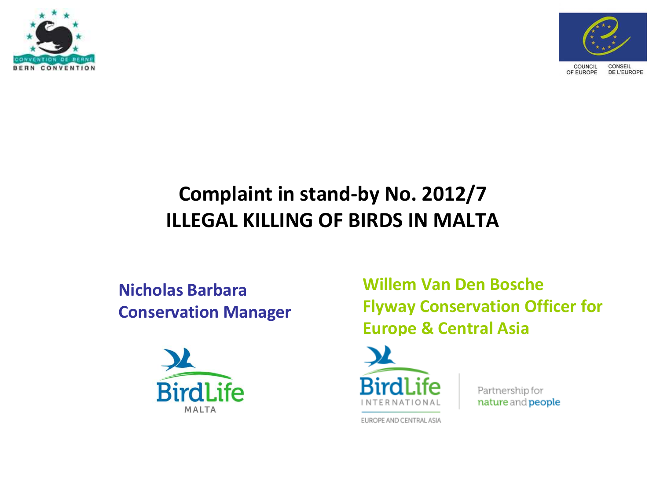



### **Complaint in stand-by No. 2012/7 ILLEGAL KILLING OF BIRDS IN MALTA**

### **Nicholas Barbara Conservation Manager**



**Willem Van Den Bosche Flyway Conservation Officer for Europe & Central Asia**



Partnership for nature and people

EUROPE AND CENTRAL ASIA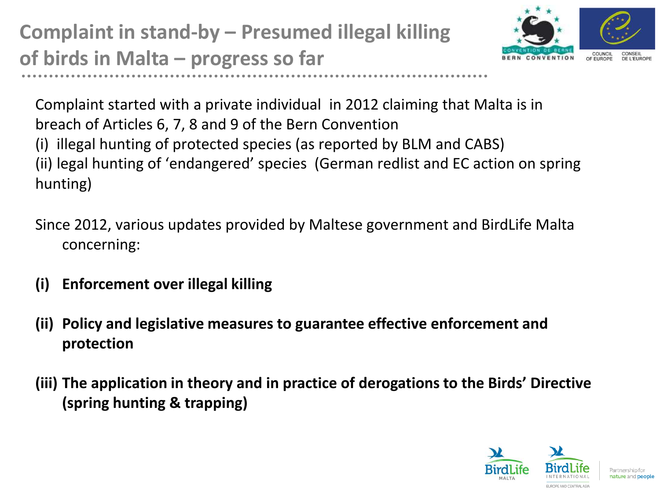**Complaint in stand-by – Presumed illegal killing of birds in Malta – progress so far**



Complaint started with a private individual in 2012 claiming that Malta is in breach of Articles 6, 7, 8 and 9 of the Bern Convention (i) illegal hunting of protected species (as reported by BLM and CABS) (ii) legal hunting of 'endangered' species (German redlist and EC action on spring hunting)

Since 2012, various updates provided by Maltese government and BirdLife Malta concerning:

- **(i) Enforcement over illegal killing**
- **(ii) Policy and legislative measures to guarantee effective enforcement and protection**
- **(iii) The application in theory and in practice of derogations to the Birds' Directive (spring hunting & trapping)**

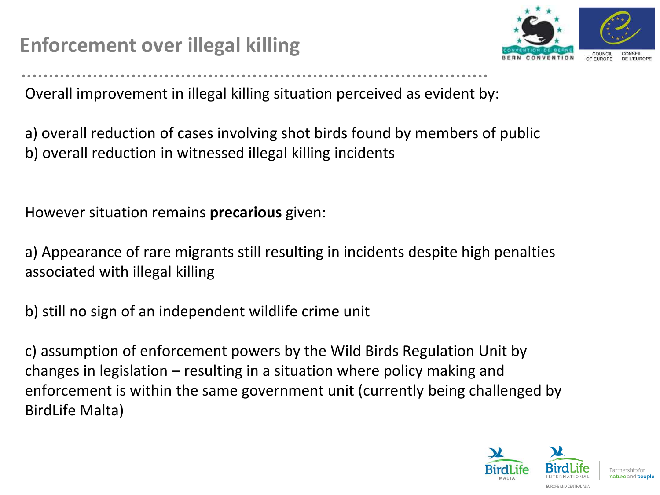## **Enforcement over illegal killing**



Overall improvement in illegal killing situation perceived as evident by:

a) overall reduction of cases involving shot birds found by members of public b) overall reduction in witnessed illegal killing incidents

However situation remains **precarious** given:

a) Appearance of rare migrants still resulting in incidents despite high penalties associated with illegal killing

b) still no sign of an independent wildlife crime unit

c) assumption of enforcement powers by the Wild Birds Regulation Unit by changes in legislation – resulting in a situation where policy making and enforcement is within the same government unit (currently being challenged by BirdLife Malta)

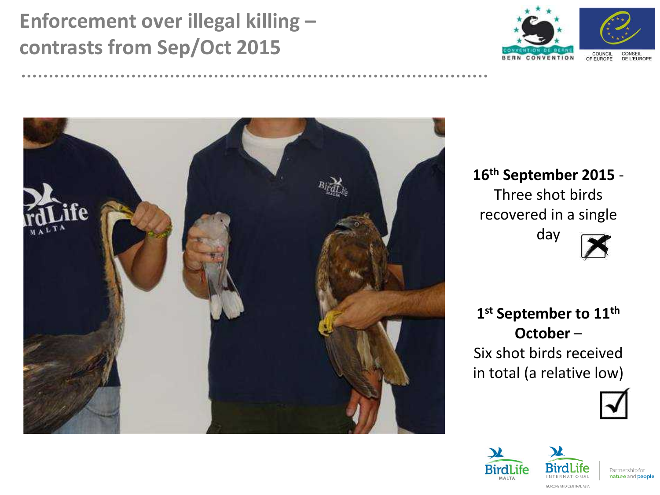### **Enforcement over illegal killing – contrasts from Sep/Oct 2015**





**16th September 2015** - Three shot birds recovered in a single day



**1 st September to 11th October** – Six shot birds received in total (a relative low)





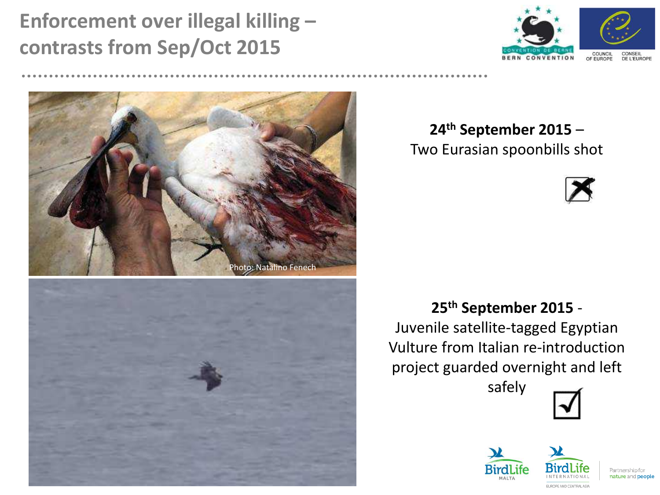### **Enforcement over illegal killing – contrasts from Sep/Oct 2015**







**24th September 2015** – Two Eurasian spoonbills shot



#### **25th September 2015** -

Juvenile satellite-tagged Egyptian Vulture from Italian re-introduction project guarded overnight and left

safely





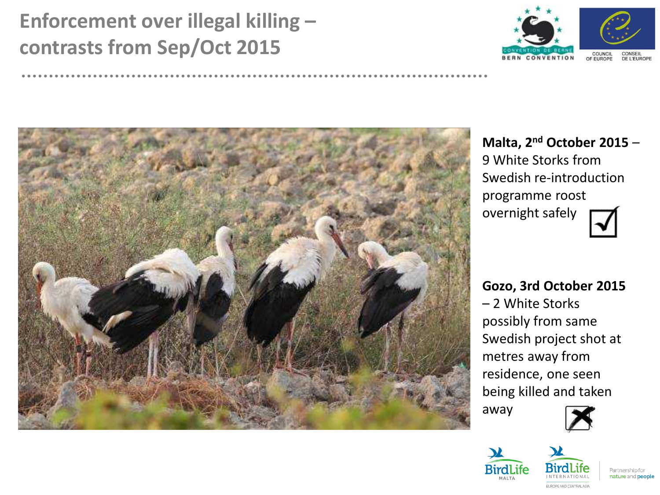## **Enforcement over illegal killing – contrasts from Sep/Oct 2015**





**Malta, 2nd October 2015** – 9 White Storks from Swedish re-introduction programme roost overnight safely

**Gozo, 3rd October 2015** – 2 White Storks possibly from same Swedish project shot at metres away from residence, one seen being killed and taken

away





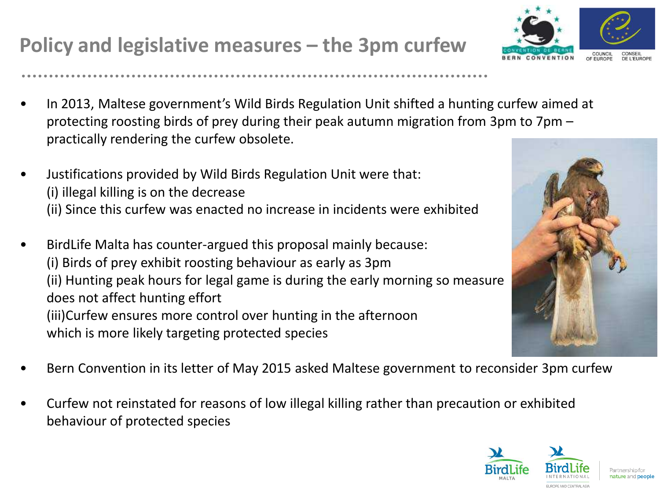### **Policy and legislative measures – the 3pm curfew**

- In 2013, Maltese government's Wild Birds Regulation Unit shifted a hunting curfew aimed at protecting roosting birds of prey during their peak autumn migration from 3pm to 7pm – practically rendering the curfew obsolete.
- Justifications provided by Wild Birds Regulation Unit were that: (i) illegal killing is on the decrease (ii) Since this curfew was enacted no increase in incidents were exhibited
- BirdLife Malta has counter-argued this proposal mainly because: (i) Birds of prey exhibit roosting behaviour as early as 3pm (ii) Hunting peak hours for legal game is during the early morning so measure does not affect hunting effort (iii)Curfew ensures more control over hunting in the afternoon which is more likely targeting protected species
- Bern Convention in its letter of May 2015 asked Maltese government to reconsider 3pm curfew
- Curfew not reinstated for reasons of low illegal killing rather than precaution or exhibited behaviour of protected species





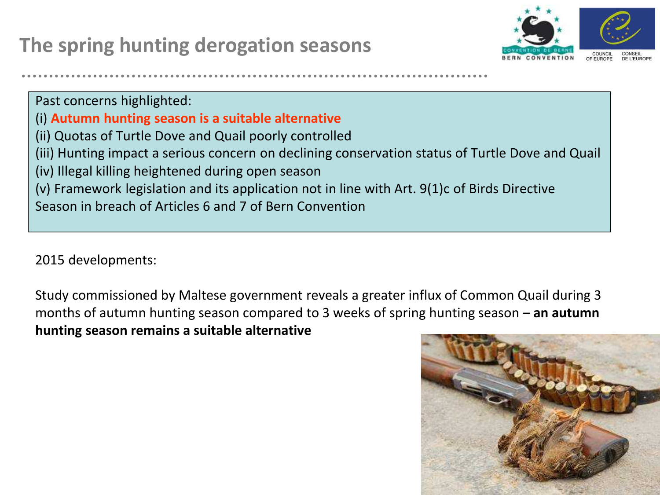

Past concerns highlighted: (i) **Autumn hunting season is a suitable alternative** (ii) Quotas of Turtle Dove and Quail poorly controlled (iii) Hunting impact a serious concern on declining conservation status of Turtle Dove and Quail (iv) Illegal killing heightened during open season (v) Framework legislation and its application not in line with Art. 9(1)c of Birds Directive Season in breach of Articles 6 and 7 of Bern Convention

2015 developments:

Study commissioned by Maltese government reveals a greater influx of Common Quail during 3 months of autumn hunting season compared to 3 weeks of spring hunting season – **an autumn hunting season remains a suitable alternative**

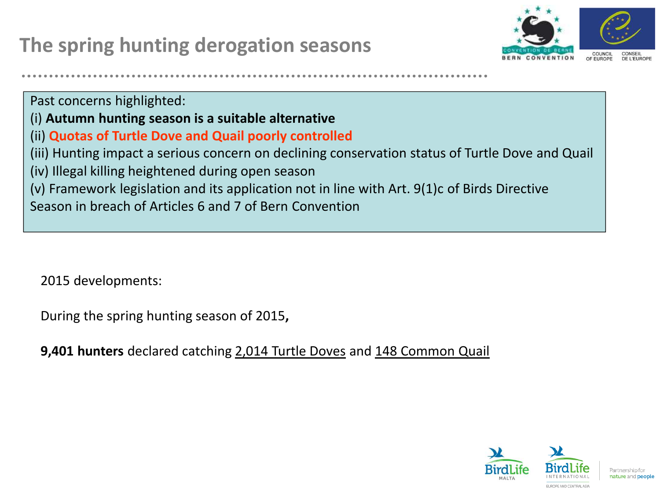

Past concerns highlighted: (i) **Autumn hunting season is a suitable alternative** (ii) **Quotas of Turtle Dove and Quail poorly controlled** (iii) Hunting impact a serious concern on declining conservation status of Turtle Dove and Quail (iv) Illegal killing heightened during open season (v) Framework legislation and its application not in line with Art. 9(1)c of Birds Directive Season in breach of Articles 6 and 7 of Bern Convention

2015 developments:

During the spring hunting season of 2015**,** 

**9,401 hunters** declared catching 2,014 Turtle Doves and 148 Common Quail

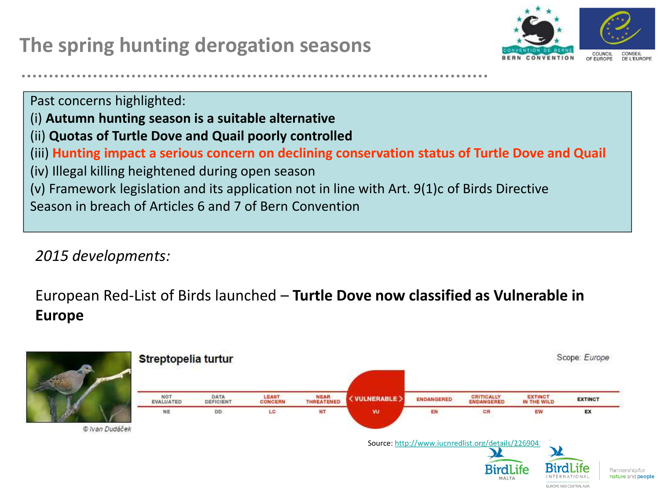

EUROPE AND CENTRAL ASIA

Past concerns highlighted: (i) **Autumn hunting season is a suitable alternative** (ii) **Quotas of Turtle Dove and Quail poorly controlled** (iii) **Hunting impact a serious concern on declining conservation status of Turtle Dove and Quail** (iv) Illegal killing heightened during open season (v) Framework legislation and its application not in line with Art. 9(1)c of Birds Directive Season in breach of Articles 6 and 7 of Bern Convention

*2015 developments:*

European Red-List of Birds launched – **Turtle Dove now classified as Vulnerable in Europe**

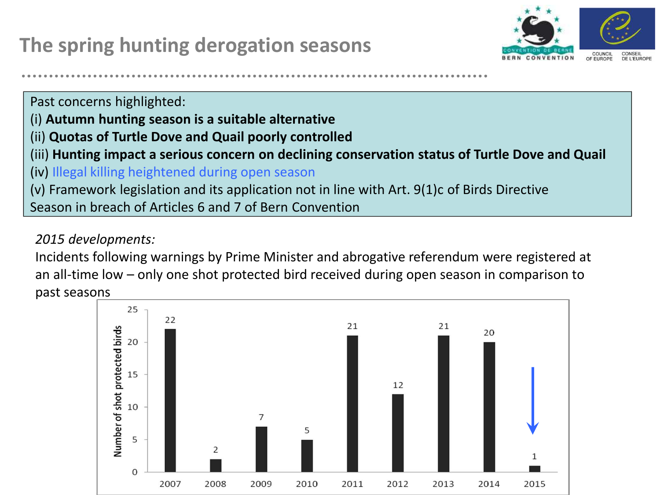

Past concerns highlighted:

- (i) **Autumn hunting season is a suitable alternative**
- (ii) **Quotas of Turtle Dove and Quail poorly controlled**
- (iii) **Hunting impact a serious concern on declining conservation status of Turtle Dove and Quail**

(iv) Illegal killing heightened during open season

(v) Framework legislation and its application not in line with Art. 9(1)c of Birds Directive

Season in breach of Articles 6 and 7 of Bern Convention

#### *2015 developments:*

Incidents following warnings by Prime Minister and abrogative referendum were registered at an all-time low – only one shot protected bird received during open season in comparison to past seasons

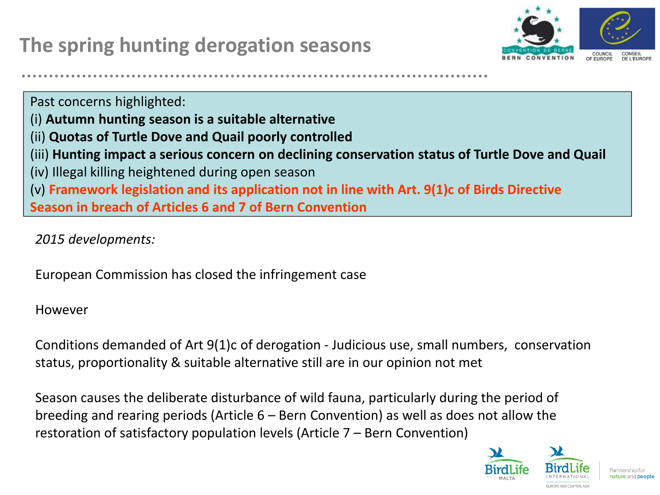

Past concerns highlighted: (i) **Autumn hunting season is a suitable alternative** (ii) **Quotas of Turtle Dove and Quail poorly controlled** (iii) **Hunting impact a serious concern on declining conservation status of Turtle Dove and Quail** (iv) Illegal killing heightened during open season (v) **Framework legislation and its application not in line with Art. 9(1)c of Birds Directive Season in breach of Articles 6 and 7 of Bern Convention**

*2015 developments:*

European Commission has closed the infringement case

However

Conditions demanded of Art 9(1)c of derogation - Judicious use, small numbers, conservation status, proportionality & suitable alternative still are in our opinion not met

Season causes the deliberate disturbance of wild fauna, particularly during the period of breeding and rearing periods (Article 6 – Bern Convention) as well as does not allow the restoration of satisfactory population levels (Article 7 – Bern Convention)

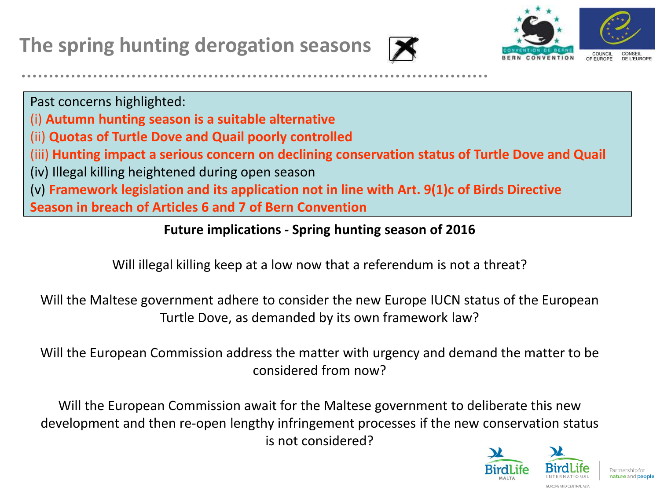



Past concerns highlighted:

- (i) **Autumn hunting season is a suitable alternative**
- (ii) **Quotas of Turtle Dove and Quail poorly controlled**
- (iii) **Hunting impact a serious concern on declining conservation status of Turtle Dove and Quail**
- (iv) Illegal killing heightened during open season

(v) **Framework legislation and its application not in line with Art. 9(1)c of Birds Directive**

**Season in breach of Articles 6 and 7 of Bern Convention**

#### **Future implications - Spring hunting season of 2016**

Will illegal killing keep at a low now that a referendum is not a threat?

Will the Maltese government adhere to consider the new Europe IUCN status of the European Turtle Dove, as demanded by its own framework law?

Will the European Commission address the matter with urgency and demand the matter to be considered from now?

Will the European Commission await for the Maltese government to deliberate this new development and then re-open lengthy infringement processes if the new conservation status is not considered?

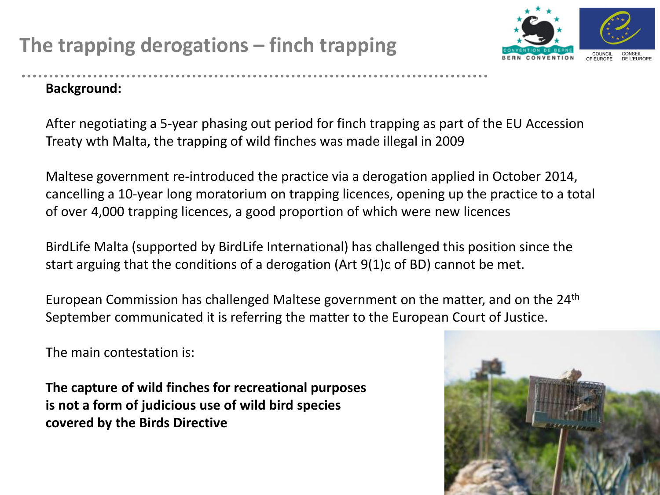### **The trapping derogations – finch trapping**



#### **Background:**

After negotiating a 5-year phasing out period for finch trapping as part of the EU Accession Treaty wth Malta, the trapping of wild finches was made illegal in 2009

Maltese government re-introduced the practice via a derogation applied in October 2014, cancelling a 10-year long moratorium on trapping licences, opening up the practice to a total of over 4,000 trapping licences, a good proportion of which were new licences

BirdLife Malta (supported by BirdLife International) has challenged this position since the start arguing that the conditions of a derogation (Art 9(1)c of BD) cannot be met.

European Commission has challenged Maltese government on the matter, and on the 24th September communicated it is referring the matter to the European Court of Justice.

The main contestation is:

**The capture of wild finches for recreational purposes is not a form of judicious use of wild bird species covered by the Birds Directive** 

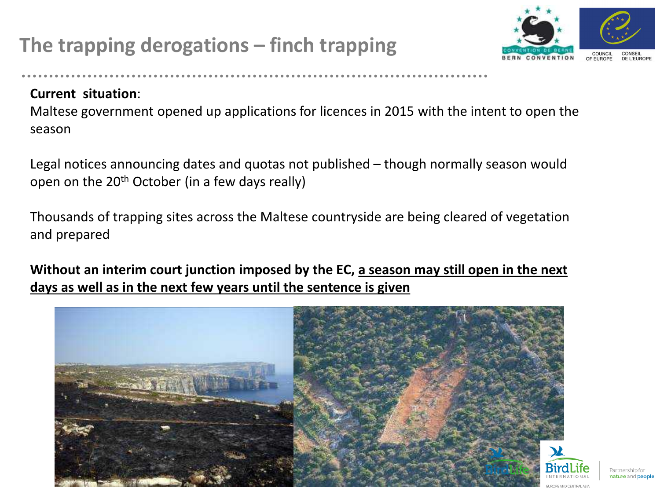### **The trapping derogations – finch trapping**



Partnership for nature and people

#### **Current situation**:

Maltese government opened up applications for licences in 2015 with the intent to open the season

Legal notices announcing dates and quotas not published – though normally season would open on the  $20<sup>th</sup>$  October (in a few days really)

Thousands of trapping sites across the Maltese countryside are being cleared of vegetation and prepared

**Without an interim court junction imposed by the EC, a season may still open in the next days as well as in the next few years until the sentence is given**

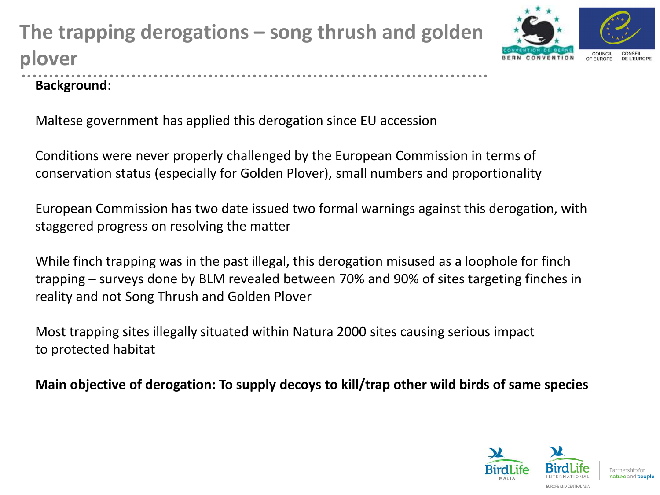# **The trapping derogations – song thrush and golden plover**



#### **Background**:

Maltese government has applied this derogation since EU accession

Conditions were never properly challenged by the European Commission in terms of conservation status (especially for Golden Plover), small numbers and proportionality

European Commission has two date issued two formal warnings against this derogation, with staggered progress on resolving the matter

While finch trapping was in the past illegal, this derogation misused as a loophole for finch trapping – surveys done by BLM revealed between 70% and 90% of sites targeting finches in reality and not Song Thrush and Golden Plover

Most trapping sites illegally situated within Natura 2000 sites causing serious impact to protected habitat

**Main objective of derogation: To supply decoys to kill/trap other wild birds of same species**

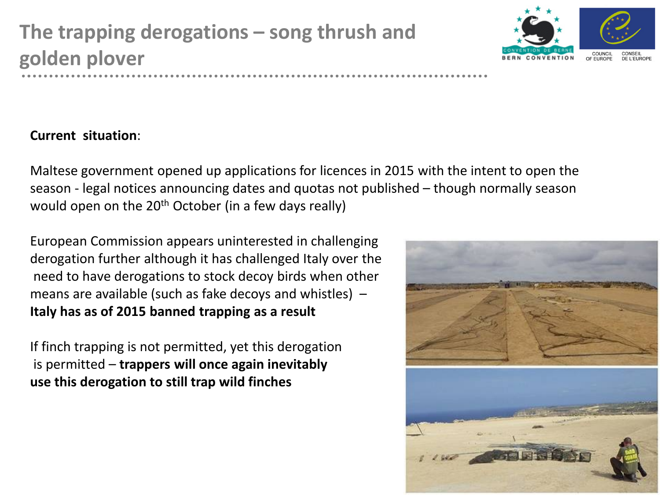

#### **Current situation**:

Maltese government opened up applications for licences in 2015 with the intent to open the season - legal notices announcing dates and quotas not published – though normally season would open on the  $20<sup>th</sup>$  October (in a few days really)

European Commission appears uninterested in challenging derogation further although it has challenged Italy over the need to have derogations to stock decoy birds when other means are available (such as fake decoys and whistles) – **Italy has as of 2015 banned trapping as a result**

If finch trapping is not permitted, yet this derogation is permitted – **trappers will once again inevitably use this derogation to still trap wild finches**

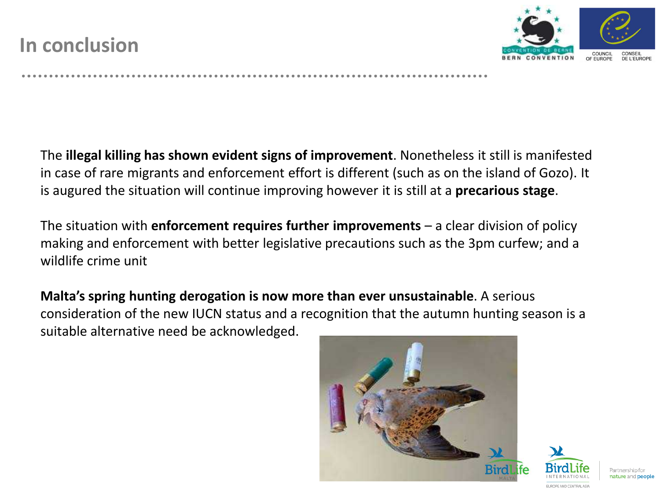

The **illegal killing has shown evident signs of improvement**. Nonetheless it still is manifested in case of rare migrants and enforcement effort is different (such as on the island of Gozo). It is augured the situation will continue improving however it is still at a **precarious stage**.

The situation with **enforcement requires further improvements** – a clear division of policy making and enforcement with better legislative precautions such as the 3pm curfew; and a wildlife crime unit

**Malta's spring hunting derogation is now more than ever unsustainable**. A serious consideration of the new IUCN status and a recognition that the autumn hunting season is a suitable alternative need be acknowledged.



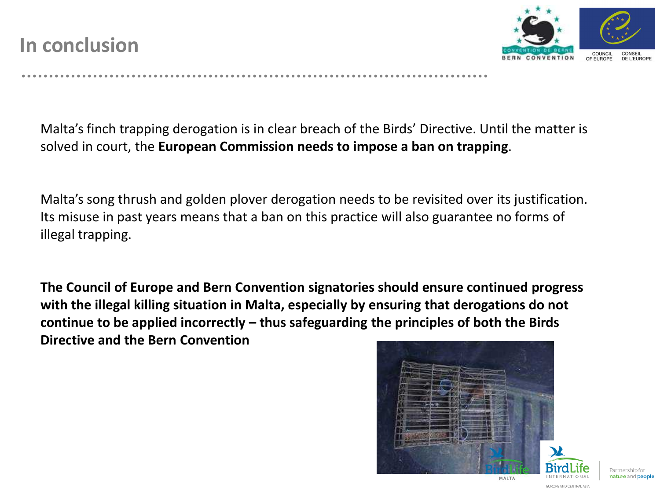

Malta's finch trapping derogation is in clear breach of the Birds' Directive. Until the matter is solved in court, the **European Commission needs to impose a ban on trapping**.

Malta's song thrush and golden plover derogation needs to be revisited over its justification. Its misuse in past years means that a ban on this practice will also guarantee no forms of illegal trapping.

**The Council of Europe and Bern Convention signatories should ensure continued progress with the illegal killing situation in Malta, especially by ensuring that derogations do not continue to be applied incorrectly – thus safeguarding the principles of both the Birds Directive and the Bern Convention**





EUROPE AND CENTRAL ASIA